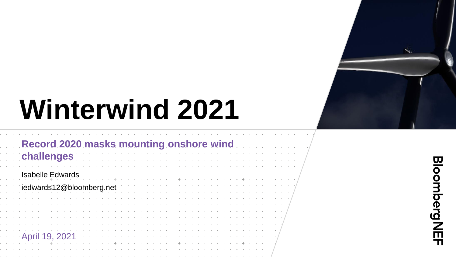

**Bloomberg NEF** 

# **Winterwind 2021**

|            | Record 2020 masks mounting onshore wind<br>challenges |  |  |  |  |  |                                                 |  |  |  |  |  |  |  |  |
|------------|-------------------------------------------------------|--|--|--|--|--|-------------------------------------------------|--|--|--|--|--|--|--|--|
|            | <b>Isabelle Edwards</b>                               |  |  |  |  |  |                                                 |  |  |  |  |  |  |  |  |
|            | iedwards12@bloomberg.net                              |  |  |  |  |  |                                                 |  |  |  |  |  |  |  |  |
|            |                                                       |  |  |  |  |  |                                                 |  |  |  |  |  |  |  |  |
|            |                                                       |  |  |  |  |  |                                                 |  |  |  |  |  |  |  |  |
|            |                                                       |  |  |  |  |  |                                                 |  |  |  |  |  |  |  |  |
| $\alpha$ . | 19, 2021                                              |  |  |  |  |  | the contract of the contract of the contract of |  |  |  |  |  |  |  |  |
|            |                                                       |  |  |  |  |  |                                                 |  |  |  |  |  |  |  |  |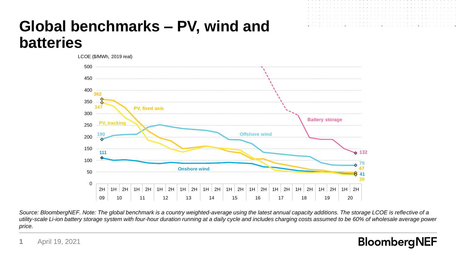# **Global benchmarks – PV, wind and batteries**



*Source: BloombergNEF. Note: The global benchmark is a country weighted-average using the latest annual capacity additions. The storage LCOE is reflective of a utility-scale Li-ion battery storage system with four-hour duration running at a daily cycle and includes charging costs assumed to be 60% of wholesale average power price.*

### April 19, 2021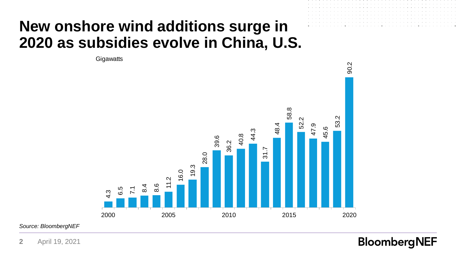### **New onshore wind additions surge in 2020 as subsidies evolve in China, U.S.**

4.3<br>6.5<br>1.7.1<br>**18.6**<br>11.2<br>11.2<br>28.0<br>38.0<br>38.2<br>38.2<br>38.2<br>44.3<br>44.4<br>45.6 **Gigawatts** 

*Source: BloombergNEF*

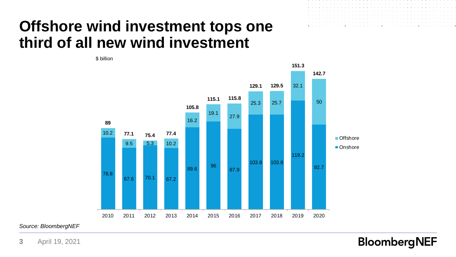### **Offshore wind investment tops one third of all new wind investment**

\$ billion

|  |  |  |  |  |  |  |  |  |  |  |  |  |  |  |  |  |  | in a constitution of the contract of the constitution of the constitution of the constitution of the constitution |  |
|--|--|--|--|--|--|--|--|--|--|--|--|--|--|--|--|--|--|-------------------------------------------------------------------------------------------------------------------|--|
|  |  |  |  |  |  |  |  |  |  |  |  |  |  |  |  |  |  |                                                                                                                   |  |
|  |  |  |  |  |  |  |  |  |  |  |  |  |  |  |  |  |  |                                                                                                                   |  |
|  |  |  |  |  |  |  |  |  |  |  |  |  |  |  |  |  |  |                                                                                                                   |  |
|  |  |  |  |  |  |  |  |  |  |  |  |  |  |  |  |  |  |                                                                                                                   |  |
|  |  |  |  |  |  |  |  |  |  |  |  |  |  |  |  |  |  |                                                                                                                   |  |
|  |  |  |  |  |  |  |  |  |  |  |  |  |  |  |  |  |  |                                                                                                                   |  |
|  |  |  |  |  |  |  |  |  |  |  |  |  |  |  |  |  |  |                                                                                                                   |  |

 $\sim$  10  $\pm$ 

78.8 67.6 70.1 67.2 89.6 <sup>96</sup> 87.9 103.8 103.8 119.2 92.7 10.2 9.5 5.3 10.2 16.2 19.1 27.9 25.3 25.7 32.1 50 **89 77.1 75.4 77.4 105.8 115.1 115.8 129.1 129.5 151.3 142.7** 2010 2011 2012 2013 2014 2015 2016 2017 2018 2019 2020 Offshore ■Onshore

*Source: BloombergNEF*

**3** April 19, 2021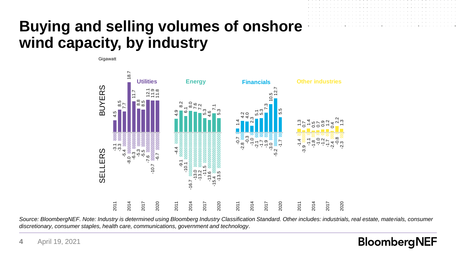### **Buying and selling volumes of onshore wind capacity, by industry**

**Gigawatt** 



Source: BloombergNEF. Note: Industry is determined using Bloomberg Industry Classification Standard. Other includes: industrials, real estate, materials, consumer *discretionary, consumer staples, health care, communications, government and technology.*

**BloombergNEF** 

**4** April 19, 2021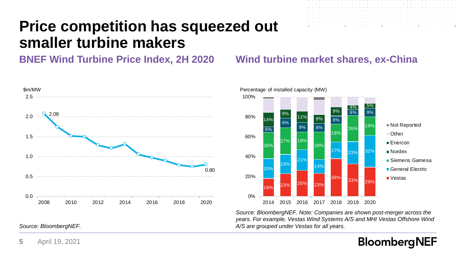### **Price competition has squeezed out smaller turbine makers**

**BNEF Wind Turbine Price Index, 2H 2020 Wind turbine market shares, ex-China**





*Source: BloombergNEF. Note: Companies are shown post-merger across the years. For example, Vestas Wind Systems A/S and MHI Vestas Offshore Wind Source: BloombergNEF. A/S are grouped under Vestas for all years.*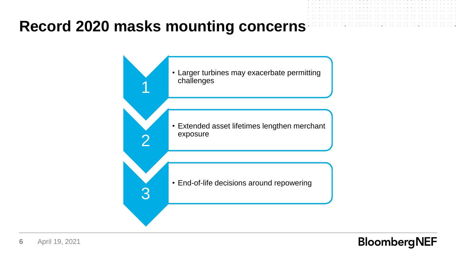### **Record 2020 masks mounting concerns**



**6** April 19, 2021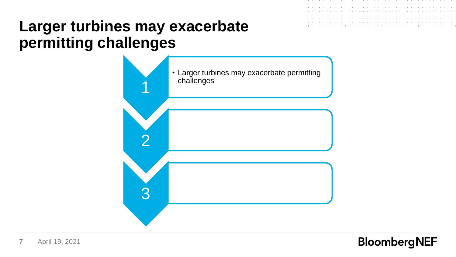### **Larger turbines may exacerbate permitting challenges**

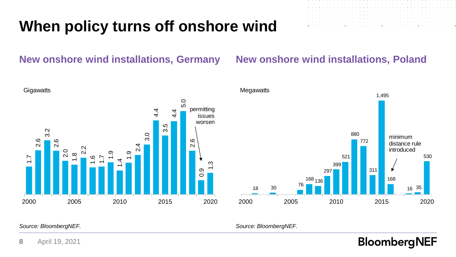# **When policy turns off onshore wind**

### **New onshore wind installations, Germany New onshore wind installations, Poland**



168 136 297 399 521 880 772 311 1,495 168 16 35 530 2000 2005 2010 2015 2020 minimum distance rule introduced

*Source: BloombergNEF. Source: BloombergNEF.*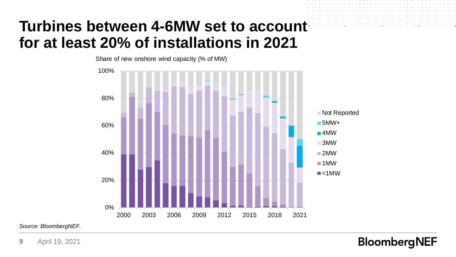### **Turbines between 4-6MW set to account for at least 20% of installations in 2021**



*Source: BloombergNEF.*

**9** April 19, 2021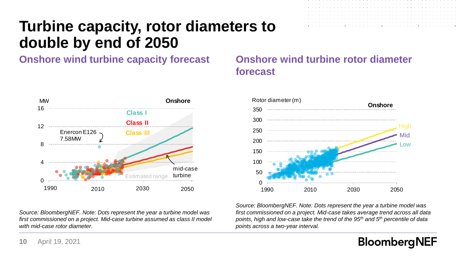# **Turbine capacity, rotor diameters to double by end of 2050**

**Onshore wind turbine capacity forecast Onshore wind turbine rotor diameter** 



*Source: BloombergNEF. Note: Dots represent the year a turbine model was first commissioned on a project. Mid-case turbine assumed as class II model with mid-case rotor diameter.*

# **forecast**



*Source: BloombergNEF. Note: Dots represent the year a turbine model was first commissioned on a project. Mid-case takes average trend across all data points, high and low-case take the trend of the 95th and 5th percentile of data points across a two-year interval.*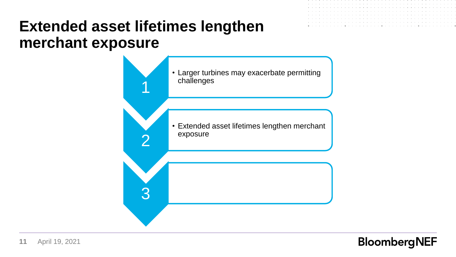### **Extended asset lifetimes lengthen merchant exposure**

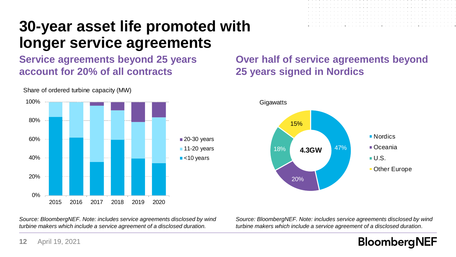### **30-year asset life promoted with longer service agreements**

**Service agreements beyond 25 years account for 20% of all contracts**



Share of ordered turbine capacity (MW)

### **Over half of service agreements beyond 25 years signed in Nordics**



*Source: BloombergNEF. Note: includes service agreements disclosed by wind turbine makers which include a service agreement of a disclosed duration.*

*Source: BloombergNEF. Note: includes service agreements disclosed by wind turbine makers which include a service agreement of a disclosed duration.*

### **BloombergNEF**

**12** April 19, 2021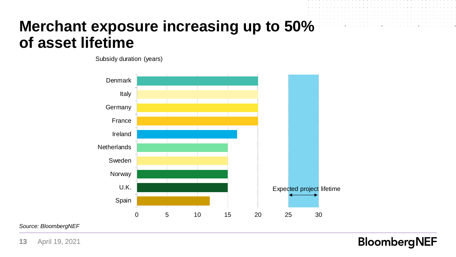### **Merchant exposure increasing up to 50% of asset lifetime**

Subsidy duration (years)



*Source: BloombergNEF*

**13** April 19, 2021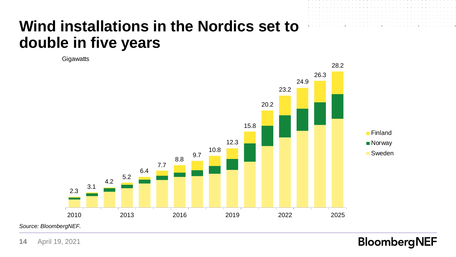## **Wind installations in the Nordics set to double in five years**

**Gigawatts** 



**14** April 19, 2021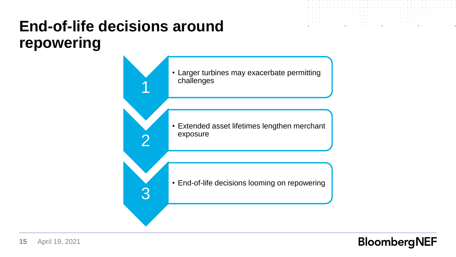# **End-of-life decisions around repowering**

1

2

3

• Larger turbines may exacerbate permitting challenges

• Extended asset lifetimes lengthen merchant exposure

• End-of-life decisions looming on repowering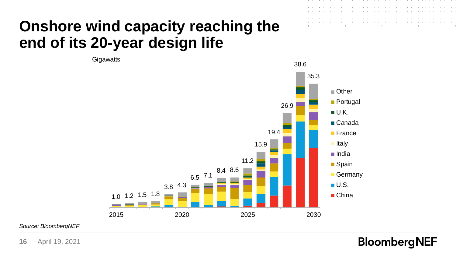### **Onshore wind capacity reaching the end of its 20-year design life**

1.0 1.2 1.5 1.8 3.8 4.3  $6.5$  7.1 8.4 8.6 11.2 15.9 19.4 26.9 38.6 35.3 2015 2020 2025 2030 **Gigawatts** Other **Portugal** ■U.K. ■ Canada **France** ■ Italy India ■ Spain **Germany**  $\blacksquare$  U.S. ■ China

**BloombergNEF** 

*Source: BloombergNEF*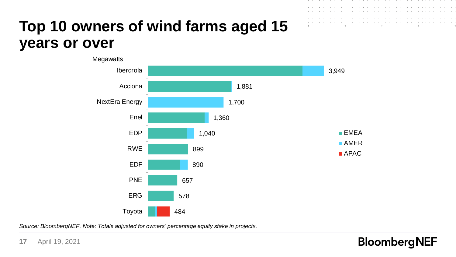# **Top 10 owners of wind farms aged 15 years or over**



*Source: BloombergNEF. Note: Totals adjusted for owners' percentage equity stake in projects.*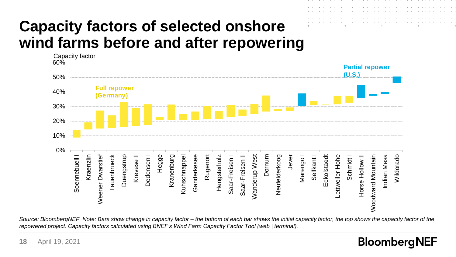# **Capacity factors of selected onshore wind farms before and after repowering**



*Source: BloombergNEF. Note: Bars show change in capacity factor – the bottom of each bar shows the initial capacity factor, the top shows the capacity factor of the repowered project. Capacity factors calculated using BNEF's Wind Farm Capacity Factor Tool ([web](https://www.bnef.com/insights/12052) | [terminal\)](https://blinks.bloomberg.com/news/stories/Q820JPT0AFBC).*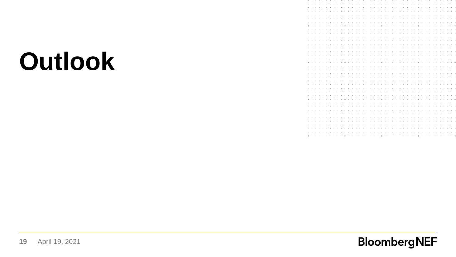# **Outlook**

|                |                |        |      |                            |            |      |        |        |                                                                                                                                                                                                                                |        |                                 |        |        |                               |        |                |        |        |                     |        |        |                                                                                                                                                                                                                               | ٠      | ٠                             |                          |            |                     |          |                               |                |        |                            |        |                          |                    |                            |  |
|----------------|----------------|--------|------|----------------------------|------------|------|--------|--------|--------------------------------------------------------------------------------------------------------------------------------------------------------------------------------------------------------------------------------|--------|---------------------------------|--------|--------|-------------------------------|--------|----------------|--------|--------|---------------------|--------|--------|-------------------------------------------------------------------------------------------------------------------------------------------------------------------------------------------------------------------------------|--------|-------------------------------|--------------------------|------------|---------------------|----------|-------------------------------|----------------|--------|----------------------------|--------|--------------------------|--------------------|----------------------------|--|
| $\sim$         |                |        |      |                            |            |      |        |        |                                                                                                                                                                                                                                |        |                                 |        | $\sim$ |                               | ٠      | ×.             | ٠      | ×,     |                     |        | $\sim$ | $\sim$                                                                                                                                                                                                                        | $\sim$ | $\sim$                        | $\sim$                   | ٠          |                     |          |                               |                |        |                            |        |                          |                    |                            |  |
| $\sim$         |                |        |      |                            |            |      |        |        |                                                                                                                                                                                                                                |        | the contract of the contract of |        |        |                               |        |                |        |        |                     |        |        | and a state of the control of the                                                                                                                                                                                             |        |                               |                          |            |                     |          |                               |                |        |                            |        |                          |                    |                            |  |
| $\sim$         |                |        |      |                            |            |      |        |        |                                                                                                                                                                                                                                |        | the contract of the contract of |        |        |                               |        |                |        |        |                     |        |        | the company's company's                                                                                                                                                                                                       |        | contract and the con-         |                          |            |                     |          |                               |                |        |                            |        |                          |                    |                            |  |
| $\sim$         |                |        |      |                            |            |      |        |        |                                                                                                                                                                                                                                |        |                                 |        |        |                               |        |                |        |        |                     |        |        |                                                                                                                                                                                                                               |        |                               |                          |            |                     |          |                               |                |        | and a series of the series |        |                          |                    |                            |  |
| $\sim$         |                | - 11   | - 11 | .                          |            |      |        |        | the company's company's                                                                                                                                                                                                        |        |                                 |        |        |                               |        |                |        |        |                     |        |        | the company of the company of the company of the company of the company of the company of the company of the company of the company of the company of the company of the company of the company of the company of the company |        |                               |                          |            |                     |          | <b>Contract Contract</b>      |                |        |                            |        |                          |                    |                            |  |
|                | $\sim$ $ \sim$ |        |      |                            |            |      | 14     | 14     | ÷                                                                                                                                                                                                                              | $\sim$ | <b>Contract Contract</b>        |        |        |                               |        |                |        |        |                     |        |        | the contract of the contract of the contract of                                                                                                                                                                               |        | the company of the company    |                          |            |                     |          | ÷.                            |                |        |                            | - 1    |                          |                    |                            |  |
|                | $\sim$ $ \sim$ | - 1    |      | .                          |            | .    |        |        |                                                                                                                                                                                                                                |        |                                 |        |        |                               |        |                |        |        |                     |        |        |                                                                                                                                                                                                                               |        |                               |                          |            |                     |          |                               |                |        |                            |        |                          |                    | the company of the company |  |
|                | $\sim$ $ \sim$ |        |      |                            |            |      |        |        |                                                                                                                                                                                                                                |        | <b>Contract Contract</b>        |        |        |                               |        |                |        |        |                     |        |        | the contract of the contract of the contract of the contract of                                                                                                                                                               |        |                               |                          |            |                     |          | the contract of               |                |        |                            |        |                          |                    |                            |  |
| $\sim$         |                |        |      |                            |            |      |        |        |                                                                                                                                                                                                                                |        |                                 | $\sim$ |        | the company of the company of |        |                |        | $\sim$ |                     |        |        | the company's company's company's                                                                                                                                                                                             |        |                               |                          |            |                     |          |                               |                |        |                            |        |                          |                    |                            |  |
|                | $\sim$         |        |      |                            |            |      |        |        |                                                                                                                                                                                                                                |        | $\sim$ 100 $\sim$               |        |        | the company's company's       |        |                |        |        |                     |        |        | the contract of the con-                                                                                                                                                                                                      |        | the company of the company of |                          |            |                     |          | - 11                          | <b>Service</b> |        |                            |        |                          |                    |                            |  |
|                |                |        |      |                            |            |      |        |        |                                                                                                                                                                                                                                |        |                                 | - 1    | 14     | - 11                          | $\sim$ | <b>COLLA</b>   | 14     | ×      |                     | $\sim$ |        | <b>Contract Contract</b>                                                                                                                                                                                                      |        | the contract of the con-      |                          |            |                     | $\alpha$ |                               |                |        |                            |        |                          |                    |                            |  |
|                |                |        |      |                            |            |      |        |        |                                                                                                                                                                                                                                |        |                                 |        |        |                               |        |                |        |        |                     |        |        |                                                                                                                                                                                                                               |        | - 11                          | $\sim$                   |            |                     |          |                               |                |        |                            |        |                          |                    |                            |  |
|                |                |        |      |                            |            |      |        |        |                                                                                                                                                                                                                                |        |                                 |        |        |                               |        |                |        |        |                     |        |        |                                                                                                                                                                                                                               |        |                               |                          |            |                     |          |                               |                |        |                            |        |                          |                    |                            |  |
|                |                |        |      |                            |            |      |        |        |                                                                                                                                                                                                                                |        |                                 |        |        |                               |        |                |        |        |                     |        |        |                                                                                                                                                                                                                               |        |                               |                          |            |                     |          |                               |                |        |                            |        |                          |                    |                            |  |
|                |                |        |      |                            |            |      |        |        |                                                                                                                                                                                                                                |        |                                 |        |        |                               |        |                |        |        |                     |        |        |                                                                                                                                                                                                                               | $\sim$ | $\sim$                        | $\sim$                   |            |                     |          |                               |                |        |                            |        |                          |                    |                            |  |
|                |                |        |      |                            |            |      |        |        |                                                                                                                                                                                                                                |        |                                 |        |        |                               |        |                |        |        |                     |        |        |                                                                                                                                                                                                                               |        |                               |                          |            |                     |          |                               |                |        |                            |        |                          |                    |                            |  |
|                |                |        |      |                            |            |      |        |        |                                                                                                                                                                                                                                |        |                                 | $\sim$ | $\sim$ | 14                            | $\sim$ | $\sim$         | 14     | ٠      | $\bullet$           |        | $\sim$ | $\sim$                                                                                                                                                                                                                        | $\sim$ | $\sim$                        | $\sim$                   | $\sim$     | $\sim$              | 14       |                               |                |        |                            |        |                          |                    |                            |  |
| $\sim$         |                |        |      |                            |            |      |        |        |                                                                                                                                                                                                                                |        | contract and supported          |        |        | <b>Contract Contract</b>      |        | <b>Service</b> |        |        |                     |        |        | the company's company's com-                                                                                                                                                                                                  |        | $\sim$                        | <b>Contract Contract</b> |            | <b>State Street</b> |          |                               |                |        |                            |        |                          |                    |                            |  |
| $\sim$         |                |        |      |                            |            |      |        |        |                                                                                                                                                                                                                                |        |                                 |        |        |                               |        |                |        |        |                     |        |        | and a series of the contract of the contract of the con-                                                                                                                                                                      |        | the company of the company    |                          |            |                     |          |                               |                |        | and a series of the series |        |                          |                    |                            |  |
| $\sim$         |                |        |      |                            |            |      |        |        |                                                                                                                                                                                                                                | 14     | <b>State State</b>              |        |        | the company of the company of |        |                |        |        |                     |        |        | the company's company's com-                                                                                                                                                                                                  |        | the contract of the con-      |                          |            | $\sim$              | - 1      |                               |                |        |                            |        |                          |                    |                            |  |
|                | $\sim$ $ \sim$ | $\sim$ |      |                            |            |      |        |        |                                                                                                                                                                                                                                |        |                                 |        |        |                               |        |                |        |        |                     |        |        |                                                                                                                                                                                                                               |        |                               |                          |            |                     |          |                               |                |        |                            |        |                          |                    |                            |  |
|                | $\sim$ $ \sim$ | 14     |      | the contract of the con-   |            |      |        |        |                                                                                                                                                                                                                                |        |                                 |        |        |                               |        |                |        |        |                     |        |        |                                                                                                                                                                                                                               |        |                               |                          |            |                     |          | the company of the company of |                |        |                            |        |                          |                    | .                          |  |
|                | $\cdots$       | 14     |      |                            |            |      |        | $\sim$ |                                                                                                                                                                                                                                |        |                                 |        |        |                               |        |                |        |        |                     |        |        | the contract of the contract of the contract of the contract of the contract of                                                                                                                                               |        |                               |                          |            |                     |          | the company of the company    |                |        |                            |        |                          | the control of the |                            |  |
| $\sim$ $ \sim$ |                | $\sim$ |      | the company of the company |            |      |        |        |                                                                                                                                                                                                                                |        |                                 |        |        |                               |        |                |        |        |                     |        |        |                                                                                                                                                                                                                               |        |                               |                          |            |                     |          |                               |                |        |                            |        |                          |                    | The Committee of the Com-  |  |
|                |                |        |      |                            |            |      |        |        |                                                                                                                                                                                                                                |        | the contract of the             |        |        |                               |        |                |        |        |                     |        |        | the company of the company of the company of the company of the company of the company of the company of the company of the company of the company of the company of the company of the company of the company of the company |        |                               |                          |            |                     |          |                               |                |        |                            |        |                          |                    |                            |  |
|                |                |        |      |                            | <b>COL</b> |      | $\sim$ |        | the contract of the contract of the contract of the contract of the contract of the contract of the contract of                                                                                                                |        |                                 |        |        |                               |        |                |        |        |                     |        |        |                                                                                                                                                                                                                               |        |                               |                          |            |                     |          |                               | <b>Service</b> |        | $\sim$ 100 $\sim$          |        |                          | $\sim$             |                            |  |
|                | $\alpha = 0.1$ |        |      |                            |            |      |        |        | the contract of the computer section in the contract of the contract of the contract of the contract of the contract of the contract of the contract of the contract of the contract of the contract of the contract of the co |        |                                 |        |        |                               |        |                |        |        |                     |        |        |                                                                                                                                                                                                                               |        |                               |                          |            |                     |          |                               |                |        |                            |        |                          | the control of     |                            |  |
|                |                |        |      |                            |            |      |        |        |                                                                                                                                                                                                                                |        |                                 | $\sim$ | - 11   |                               | $\sim$ |                | 14     |        | <b>State Street</b> |        |        | <b>Contract Contract</b>                                                                                                                                                                                                      |        | <b>Contract Contract</b>      |                          |            |                     |          |                               |                |        |                            |        |                          |                    |                            |  |
|                |                |        |      |                            |            |      |        |        | the company's company's                                                                                                                                                                                                        |        |                                 |        | $\sim$ | $\sim$                        | $\sim$ | $\sim$         | $\sim$ |        |                     |        |        | the company of the company of                                                                                                                                                                                                 |        | the company of the company of |                          |            |                     |          |                               |                |        |                            |        |                          |                    |                            |  |
|                |                |        |      |                            |            |      |        |        |                                                                                                                                                                                                                                |        |                                 |        | - 11   |                               |        |                | 14     |        |                     |        |        |                                                                                                                                                                                                                               | $\sim$ | $\sim$                        | $\sim$                   | <b>COL</b> |                     |          |                               |                |        |                            |        |                          |                    |                            |  |
|                |                |        |      |                            |            |      |        |        |                                                                                                                                                                                                                                |        |                                 |        |        |                               |        |                |        |        |                     |        |        |                                                                                                                                                                                                                               | $\sim$ | $\sim$                        | $\sim$                   |            |                     |          |                               |                |        |                            |        |                          |                    |                            |  |
| $\sim$         |                |        |      |                            |            |      |        |        |                                                                                                                                                                                                                                |        |                                 | $\sim$ | $\sim$ | - 11                          | $\sim$ | $\sim$         | $\sim$ | ×      |                     |        |        | the company of the company of                                                                                                                                                                                                 |        | $\sim$                        | $\sim$                   | $\sim$     | $\sim$              |          |                               |                |        |                            |        |                          |                    |                            |  |
| $\sim$         |                |        |      |                            |            |      |        |        |                                                                                                                                                                                                                                |        | the company of the company of   |        |        |                               |        | $\sim$         | $\sim$ | ٠      |                     |        |        | the contract of the contract of the                                                                                                                                                                                           |        |                               |                          |            |                     |          |                               |                |        |                            |        |                          |                    |                            |  |
| $\sim$         |                |        |      |                            |            | - 11 |        |        |                                                                                                                                                                                                                                |        |                                 |        |        |                               |        |                |        |        |                     |        |        |                                                                                                                                                                                                                               |        |                               |                          |            |                     |          |                               |                |        |                            |        | <b>Contract Contract</b> |                    |                            |  |
| $\sim$         |                |        |      |                            |            |      |        |        |                                                                                                                                                                                                                                |        |                                 |        |        |                               |        |                |        |        |                     |        |        |                                                                                                                                                                                                                               |        |                               |                          |            |                     |          |                               |                |        |                            |        |                          |                    |                            |  |
|                | $\sim$         |        |      |                            |            |      |        |        |                                                                                                                                                                                                                                | ٠      | $\sim$                          | $\sim$ |        | contract the contract         |        |                |        | ٠      |                     |        | $\sim$ | $\sim$                                                                                                                                                                                                                        | $\sim$ | $\sim$                        | $\sim$                   | ٠          | ٠                   | ٠        |                               |                | $\sim$ |                            | $\sim$ | <b>Contract Contract</b> |                    |                            |  |
|                |                |        |      |                            |            |      |        |        |                                                                                                                                                                                                                                |        |                                 |        |        |                               |        |                |        |        |                     |        |        |                                                                                                                                                                                                                               |        |                               |                          |            |                     |          |                               |                |        |                            |        |                          |                    |                            |  |

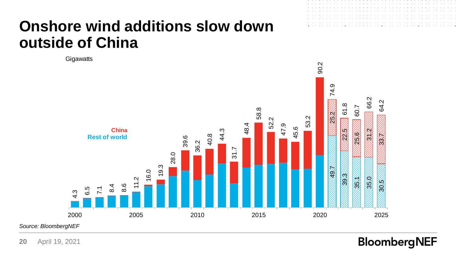### **Onshore wind additions slow down outside of China**

**Gigawatts** 



*Source: BloombergNEF*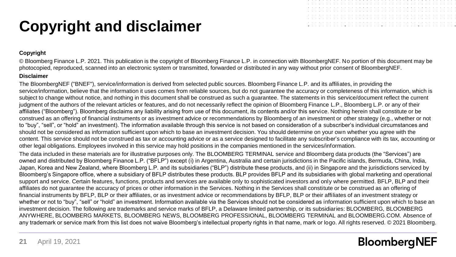# **Copyright and disclaimer**



### **Copyright**

© Bloomberg Finance L.P. 2021. This publication is the copyright of Bloomberg Finance L.P. in connection with BloombergNEF. No portion of this document may be photocopied, reproduced, scanned into an electronic system or transmitted, forwarded or distributed in any way without prior consent of BloombergNEF.

### **Disclaimer**

The BloombergNEF ("BNEF"), service/information is derived from selected public sources. Bloomberg Finance L.P. and its affiliates, in providing the service/information, believe that the information it uses comes from reliable sources, but do not quarantee the accuracy or completeness of this information, which is subject to change without notice, and nothing in this document shall be construed as such a guarantee. The statements in this service/document reflect the current judgment of the authors of the relevant articles or features, and do not necessarily reflect the opinion of Bloomberg Finance L.P., Bloomberg L.P. or any of their affiliates ("Bloomberg"). Bloomberg disclaims any liability arising from use of this document, its contents and/or this service. Nothing herein shall constitute or be construed as an offering of financial instruments or as investment advice or recommendations by Bloomberg of an investment or other strategy (e.g., whether or not to "buy", "sell", or "hold" an investment). The information available through this service is not based on consideration of a subscriber's individual circumstances and should not be considered as information sufficient upon which to base an investment decision. You should determine on your own whether you agree with the content. This service should not be construed as tax or accounting advice or as a service designed to facilitate any subscriber's compliance with its tax, accounting or other legal obligations. Employees involved in this service may hold positions in the companies mentioned in the services/information.

The data included in these materials are for illustrative purposes only. The BLOOMBERG TERMINAL service and Bloomberg data products (the "Services") are owned and distributed by Bloomberg Finance L.P. ("BFLP") except (i) in Argentina, Australia and certain jurisdictions in the Pacific islands, Bermuda, China, India, Japan, Korea and New Zealand, where Bloomberg L.P. and its subsidiaries ("BLP") distribute these products, and (ii) in Singapore and the jurisdictions serviced by Bloomberg's Singapore office, where a subsidiary of BFLP distributes these products. BLP provides BFLP and its subsidiaries with global marketing and operational support and service. Certain features, functions, products and services are available only to sophisticated investors and only where permitted. BFLP, BLP and their affiliates do not guarantee the accuracy of prices or other information in the Services. Nothing in the Services shall constitute or be construed as an offering of financial instruments by BFLP, BLP or their affiliates, or as investment advice or recommendations by BFLP, BLP or their affiliates of an investment strategy or whether or not to "buy", "sell" or "hold" an investment. Information available via the Services should not be considered as information sufficient upon which to base an investment decision. The following are trademarks and service marks of BFLP, a Delaware limited partnership, or its subsidiaries: BLOOMBERG, BLOOMBERG ANYWHERE, BLOOMBERG MARKETS, BLOOMBERG NEWS, BLOOMBERG PROFESSIONAL, BLOOMBERG TERMINAL and BLOOMBERG.COM. Absence of any trademark or service mark from this list does not waive Bloomberg's intellectual property rights in that name, mark or logo. All rights reserved. © 2021 Bloomberg.